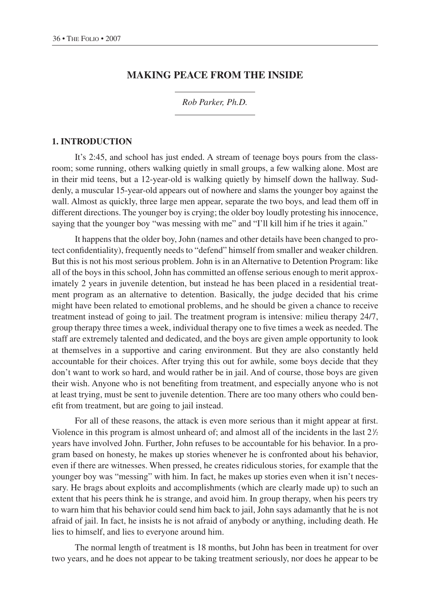# **MAKING PEACE FROM THE INSIDE**

*Rob Parker, Ph.D.*

#### **1. INTRODUCTION**

It's 2:45, and school has just ended. A stream of teenage boys pours from the classroom; some running, others walking quietly in small groups, a few walking alone. Most are in their mid teens, but a 12-year-old is walking quietly by himself down the hallway. Suddenly, a muscular 15-year-old appears out of nowhere and slams the younger boy against the wall. Almost as quickly, three large men appear, separate the two boys, and lead them off in different directions. The younger boy is crying; the older boy loudly protesting his innocence, saying that the younger boy "was messing with me" and "I'll kill him if he tries it again."

It happens that the older boy, John (names and other details have been changed to protect confidentiality), frequently needs to "defend" himself from smaller and weaker children. But this is not his most serious problem. John is in an Alternative to Detention Program: like all of the boys in this school, John has committed an offense serious enough to merit approximately 2 years in juvenile detention, but instead he has been placed in a residential treatment program as an alternative to detention. Basically, the judge decided that his crime might have been related to emotional problems, and he should be given a chance to receive treatment instead of going to jail. The treatment program is intensive: milieu therapy 24/7, group therapy three times a week, individual therapy one to five times a week as needed. The staff are extremely talented and dedicated, and the boys are given ample opportunity to look at themselves in a supportive and caring environment. But they are also constantly held accountable for their choices. After trying this out for awhile, some boys decide that they don't want to work so hard, and would rather be in jail. And of course, those boys are given their wish. Anyone who is not benefiting from treatment, and especially anyone who is not at least trying, must be sent to juvenile detention. There are too many others who could benefit from treatment, but are going to jail instead.

For all of these reasons, the attack is even more serious than it might appear at first. Violence in this program is almost unheard of; and almost all of the incidents in the last  $2\frac{1}{2}$ years have involved John. Further, John refuses to be accountable for his behavior. In a program based on honesty, he makes up stories whenever he is confronted about his behavior, even if there are witnesses. When pressed, he creates ridiculous stories, for example that the younger boy was "messing" with him. In fact, he makes up stories even when it isn't necessary. He brags about exploits and accomplishments (which are clearly made up) to such an extent that his peers think he is strange, and avoid him. In group therapy, when his peers try to warn him that his behavior could send him back to jail, John says adamantly that he is not afraid of jail. In fact, he insists he is not afraid of anybody or anything, including death. He lies to himself, and lies to everyone around him.

The normal length of treatment is 18 months, but John has been in treatment for over two years, and he does not appear to be taking treatment seriously, nor does he appear to be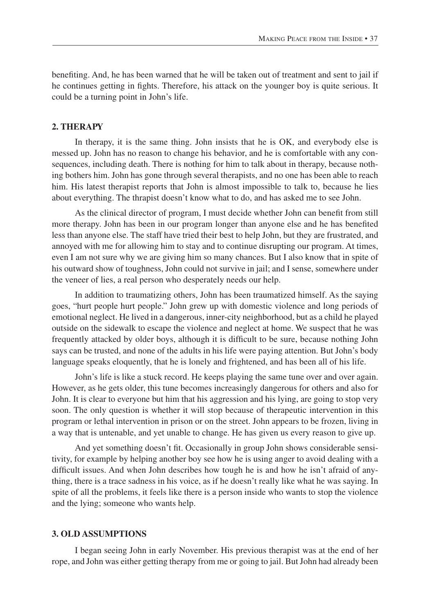benefiting. And, he has been warned that he will be taken out of treatment and sent to jail if he continues getting in fights. Therefore, his attack on the younger boy is quite serious. It could be a turning point in John's life.

# **2. THERAPY**

In therapy, it is the same thing. John insists that he is OK, and everybody else is messed up. John has no reason to change his behavior, and he is comfortable with any consequences, including death. There is nothing for him to talk about in therapy, because nothing bothers him. John has gone through several therapists, and no one has been able to reach him. His latest therapist reports that John is almost impossible to talk to, because he lies about everything. The thrapist doesn't know what to do, and has asked me to see John.

As the clinical director of program, I must decide whether John can benefit from still more therapy. John has been in our program longer than anyone else and he has benefited less than anyone else. The staff have tried their best to help John, but they are frustrated, and annoyed with me for allowing him to stay and to continue disrupting our program. At times, even I am not sure why we are giving him so many chances. But I also know that in spite of his outward show of toughness, John could not survive in jail; and I sense, somewhere under the veneer of lies, a real person who desperately needs our help.

In addition to traumatizing others, John has been traumatized himself. As the saying goes, "hurt people hurt people." John grew up with domestic violence and long periods of emotional neglect. He lived in a dangerous, inner-city neighborhood, but as a child he played outside on the sidewalk to escape the violence and neglect at home. We suspect that he was frequently attacked by older boys, although it is difficult to be sure, because nothing John says can be trusted, and none of the adults in his life were paying attention. But John's body language speaks eloquently, that he is lonely and frightened, and has been all of his life.

John's life is like a stuck record. He keeps playing the same tune over and over again. However, as he gets older, this tune becomes increasingly dangerous for others and also for John. It is clear to everyone but him that his aggression and his lying, are going to stop very soon. The only question is whether it will stop because of therapeutic intervention in this program or lethal intervention in prison or on the street. John appears to be frozen, living in a way that is untenable, and yet unable to change. He has given us every reason to give up.

And yet something doesn't fit. Occasionally in group John shows considerable sensitivity, for example by helping another boy see how he is using anger to avoid dealing with a difficult issues. And when John describes how tough he is and how he isn't afraid of anything, there is a trace sadness in his voice, as if he doesn't really like what he was saying. In spite of all the problems, it feels like there is a person inside who wants to stop the violence and the lying; someone who wants help.

#### **3. OLD ASSUMPTIONS**

I began seeing John in early November. His previous therapist was at the end of her rope, and John was either getting therapy from me or going to jail. But John had already been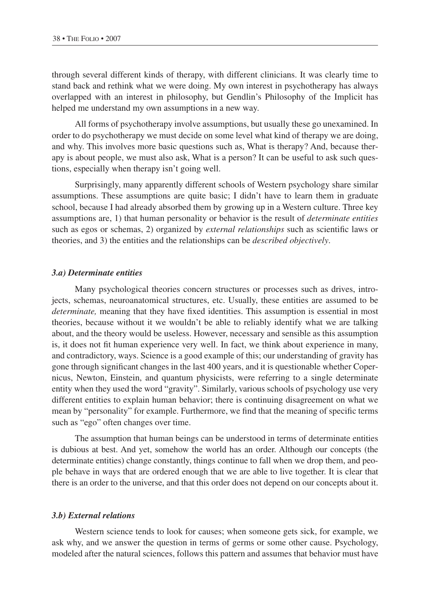<span id="page-2-0"></span>through several different kinds of therapy, with different clinicians. It was clearly time to stand back and rethink what we were doing. My own interest in psychotherapy has always overlapped with an interest in philosophy, but Gendlin's Philosophy of the Implicit has helped me understand my own assumptions in a new way.

All forms of psychotherapy involve assumptions, but usually these go unexamined. In order to do psychotherapy we must decide on some level what kind of therapy we are doing, and why. This involves more basic questions such as, What is therapy? And, because therapy is about people, we must also ask, What is a person? It can be useful to ask such questions, especially when therapy isn't going well.

Surprisingly, many apparently different schools of Western psychology share similar assumptions. These assumptions are quite basic; I didn't have to learn them in graduate school, because I had already absorbed them by growing up in a Western culture. Three key assumptions are, 1) that human personality or behavior is the result of *determinate entities* such as egos or schemas, 2) organized by *external relationships* such as scientific laws or theories, and 3) the entities and the relationships can be *described objectively*.

#### *3.a) Determinate entities*

Many psychological theories concern structures or processes such as drives, introjects, schemas, neuroanatomical structures, etc. Usually, these entities are assumed to be *determinate,* meaning that they have fixed identities. This assumption is essential in most theories, because without it we wouldn't be able to reliably identify what we are talking about, and the theory would be useless. However, necessary and sensible as this assumption is, it does not fit human experience very well. In fact, we think about experience in many, and contradictory, ways. Science is a good example of this; our understanding of gravity has gone through significant changes in the last 400 years, and it is questionable whether Copernicus, Newton, Einstein, and quantum physicists, were referring to a single determinate entity when they used the word "gravity". Similarly, various schools of psychology use very different entities to explain human behavior; there is continuing disagreement on what we mean by "personality" for example. Furthermore, we find that the meaning of specific terms such as "ego" often changes over time.

The assumption that human beings can be understood in terms of determinate entities is dubious at best. And yet, somehow the world has an order. Although our concepts (the determinate entities) change constantly, things continue to fall when we drop them, and people behave in ways that are ordered enough that we are able to live together. It is clear that there is an order to the universe, and that this order does not depend on our concepts about it.

#### *3.b) External relations*

Western science tends to look for causes; when someone gets sick, for example, we ask why, and we answer the question in terms of germs or some other cause. Psychology, modeled after the natural sciences, follows this pattern and assumes that behavior must have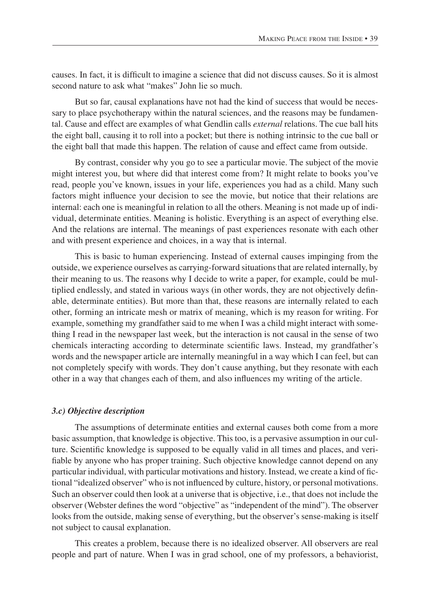causes. In fact, it is difficult to imagine a science that did not discuss causes. So it is almost second nature to ask what "makes" John lie so much.

But so far, causal explanations have not had the kind of success that would be necessary to place psychotherapy within the natural sciences, and the reasons may be fundamental. Cause and effect are examples of what Gendlin calls *external* relations. The cue ball hits the eight ball, causing it to roll into a pocket; but there is nothing intrinsic to the cue ball or the eight ball that made this happen. The relation of cause and effect came from outside.

By contrast, consider why you go to see a particular movie. The subject of the movie might interest you, but where did that interest come from? It might relate to books you've read, people you've known, issues in your life, experiences you had as a child. Many such factors might influence your decision to see the movie, but notice that their relations are internal: each one is meaningful in relation to all the others. Meaning is not made up of individual, determinate entities. Meaning is holistic. Everything is an aspect of everything else. And the relations are internal. The meanings of past experiences resonate with each other and with present experience and choices, in a way that is internal.

This is basic to human experiencing. Instead of external causes impinging from the outside, we experience ourselves as carrying-forward situations that are related internally, by their meaning to us. The reasons why I decide to write a paper, for example, could be multiplied endlessly, and stated in various ways (in other words, they are not objectively definable, determinate entities). But more than that, these reasons are internally related to each other, forming an intricate mesh or matrix of meaning, which is my reason for writing. For example, something my grandfather said to me when I was a child might interact with something I read in the newspaper last week, but the interaction is not causal in the sense of two chemicals interacting according to determinate scientific laws. Instead, my grandfather's words and the newspaper article are internally meaningful in a way which I can feel, but can not completely specify with words. They don't cause anything, but they resonate with each other in a way that changes each of them, and also influences my writing of the article.

#### *3.c) Objective description*

The assumptions of determinate entities and external causes both come from a more basic assumption, that knowledge is objective. This too, is a pervasive assumption in our culture. Scientific knowledge is supposed to be equally valid in all times and places, and verifiable by anyone who has proper training. Such objective knowledge cannot depend on any particular individual, with particular motivations and history. Instead, we create a kind of fictional "idealized observer" who is not influenced by culture, history, or personal motivations. Such an observer could then look at a universe that is objective, i.e., that does not include the observer (Webster defines the word "objective" as "independent of the mind"). The observer looks from the outside, making sense of everything, but the observer's sense-making is itself not subject to causal explanation.

This creates a problem, because there is no idealized observer. All observers are real people and part of nature. When I was in grad school, one of my professors, a behaviorist,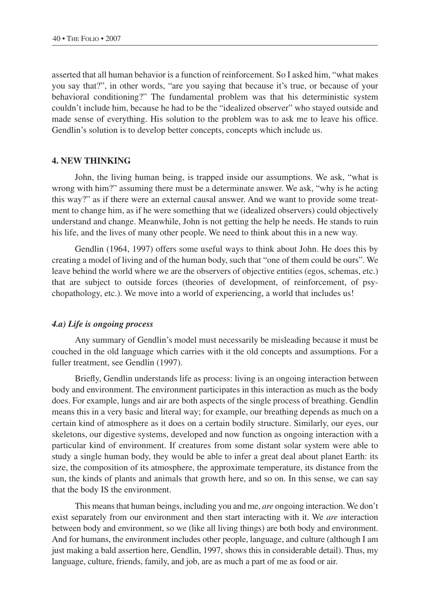asserted that all human behavior is a function of reinforcement. So I asked him, "what makes you say that?", in other words, "are you saying that because it's true, or because of your behavioral conditioning?" The fundamental problem was that his deterministic system couldn't include him, because he had to be the "idealized observer" who stayed outside and made sense of everything. His solution to the problem was to ask me to leave his office. Gendlin's solution is to develop better concepts, concepts which include us.

# **4. NEW THINKING**

John, the living human being, is trapped inside our assumptions. We ask, "what is wrong with him?" assuming there must be a determinate answer. We ask, "why is he acting this way?" as if there were an external causal answer. And we want to provide some treatment to change him, as if he were something that we (idealized observers) could objectively understand and change. Meanwhile, John is not getting the help he needs. He stands to ruin his life, and the lives of many other people. We need to think about this in a new way.

Gendlin (1964, 1997) offers some useful ways to think about John. He does this by creating a model of living and of the human body, such that "one of them could be ours". We leave behind the world where we are the observers of objective entities (egos, schemas, etc.) that are subject to outside forces (theories of development, of reinforcement, of psychopathology, etc.). We move into a world of experiencing, a world that includes us!

#### *4.a) Life is ongoing process*

Any summary of Gendlin's model must necessarily be misleading because it must be couched in the old language which carries with it the old concepts and assumptions. For a fuller treatment, see Gendlin (1997).

Briefly, Gendlin understands life as process: living is an ongoing interaction between body and environment. The environment participates in this interaction as much as the body does. For example, lungs and air are both aspects of the single process of breathing. Gendlin means this in a very basic and literal way; for example, our breathing depends as much on a certain kind of atmosphere as it does on a certain bodily structure. Similarly, our eyes, our skeletons, our digestive systems, developed and now function as ongoing interaction with a particular kind of environment. If creatures from some distant solar system were able to study a single human body, they would be able to infer a great deal about planet Earth: its size, the composition of its atmosphere, the approximate temperature, its distance from the sun, the kinds of plants and animals that growth here, and so on. In this sense, we can say that the body IS the environment.

This means that human beings, including you and me, *are* ongoing interaction. We don't exist separately from our environment and then start interacting with it. We *are* interaction between body and environment, so we (like all living things) are both body and environment. And for humans, the environment includes other people, language, and culture (although I am just making a bald assertion here, Gendlin, 1997, shows this in considerable detail). Thus, my language, culture, friends, family, and job, are as much a part of me as food or air.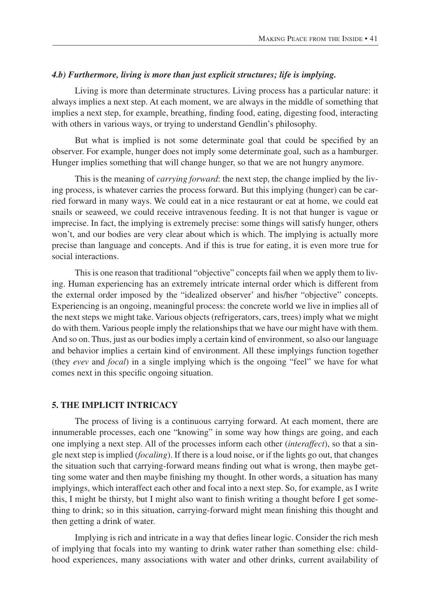#### *4.b) Furthermore, living is more than just explicit structures; life is implying.*

Living is more than determinate structures. Living process has a particular nature: it always implies a next step. At each moment, we are always in the middle of something that implies a next step, for example, breathing, finding food, eating, digesting food, interacting with others in various ways, or trying to understand Gendlin's philosophy.

But what is implied is not some determinate goal that could be specified by an observer. For example, hunger does not imply some determinate goal, such as a hamburger. Hunger implies something that will change hunger, so that we are not hungry anymore.

This is the meaning of *carrying forward*: the next step, the change implied by the living process, is whatever carries the process forward. But this implying (hunger) can be carried forward in many ways. We could eat in a nice restaurant or eat at home, we could eat snails or seaweed, we could receive intravenous feeding. It is not that hunger is vague or imprecise. In fact, the implying is extremely precise: some things will satisfy hunger, others won't, and our bodies are very clear about which is which. The implying is actually more precise than language and concepts. And if this is true for eating, it is even more true for social interactions.

This is one reason that traditional "objective" concepts fail when we apply them to living. Human experiencing has an extremely intricate internal order which is different from the external order imposed by the "idealized observer' and his/her "objective" concepts. Experiencing is an ongoing, meaningful process: the concrete world we live in implies all of the next steps we might take. Various objects (refrigerators, cars, trees) imply what we might do with them. Various people imply the relationships that we have our might have with them. And so on. Thus, just as our bodies imply a certain kind of environment, so also our language and behavior implies a certain kind of environment. All these implyings function together (they *evev* and *focal*) in a single implying which is the ongoing "feel" we have for what comes next in this specific ongoing situation.

# **5. THE IMPLICIT INTRICACY**

The process of living is a continuous carrying forward. At each moment, there are innumerable processes, each one "knowing" in some way how things are going, and each one implying a next step. All of the processes inform each other (*interaffect*), so that a single next step is implied (*focaling*). If there is a loud noise, or if the lights go out, that changes the situation such that carrying-forward means finding out what is wrong, then maybe getting some water and then maybe finishing my thought. In other words, a situation has many implyings, which interaffect each other and focal into a next step. So, for example, as I write this, I might be thirsty, but I might also want to finish writing a thought before I get something to drink; so in this situation, carrying-forward might mean finishing this thought and then getting a drink of water.

Implying is rich and intricate in a way that defies linear logic. Consider the rich mesh of implying that focals into my wanting to drink water rather than something else: childhood experiences, many associations with water and other drinks, current availability of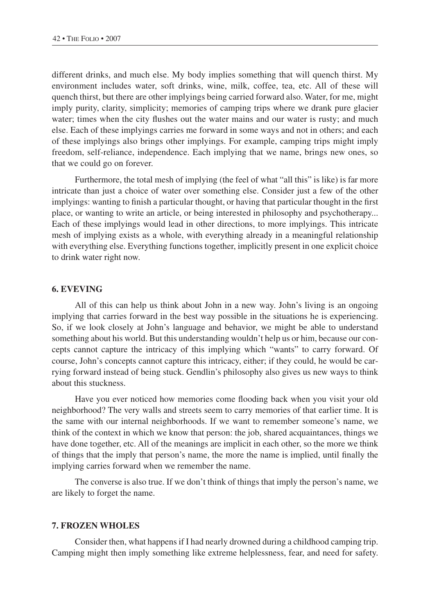different drinks, and much else. My body implies something that will quench thirst. My environment includes water, soft drinks, wine, milk, coffee, tea, etc. All of these will quench thirst, but there are other implyings being carried forward also. Water, for me, might imply purity, clarity, simplicity; memories of camping trips where we drank pure glacier water; times when the city flushes out the water mains and our water is rusty; and much else. Each of these implyings carries me forward in some ways and not in others; and each of these implyings also brings other implyings. For example, camping trips might imply freedom, self-reliance, independence. Each implying that we name, brings new ones, so that we could go on forever.

Furthermore, the total mesh of implying (the feel of what "all this" is like) is far more intricate than just a choice of water over something else. Consider just a few of the other implyings: wanting to finish a particular thought, or having that particular thought in the first place, or wanting to write an article, or being interested in philosophy and psychotherapy... Each of these implyings would lead in other directions, to more implyings. This intricate mesh of implying exists as a whole, with everything already in a meaningful relationship with everything else. Everything functions together, implicitly present in one explicit choice to drink water right now.

#### **6. EVEVING**

All of this can help us think about John in a new way. John's living is an ongoing implying that carries forward in the best way possible in the situations he is experiencing. So, if we look closely at John's language and behavior, we might be able to understand something about his world. But this understanding wouldn't help us or him, because our concepts cannot capture the intricacy of this implying which "wants" to carry forward. Of course, John's concepts cannot capture this intricacy, either; if they could, he would be carrying forward instead of being stuck. Gendlin's philosophy also gives us new ways to think about this stuckness.

Have you ever noticed how memories come flooding back when you visit your old neighborhood? The very walls and streets seem to carry memories of that earlier time. It is the same with our internal neighborhoods. If we want to remember someone's name, we think of the context in which we know that person: the job, shared acquaintances, things we have done together, etc. All of the meanings are implicit in each other, so the more we think of things that the imply that person's name, the more the name is implied, until finally the implying carries forward when we remember the name.

The converse is also true. If we don't think of things that imply the person's name, we are likely to forget the name.

## **7. FROZEN WHOLES**

Consider then, what happens if I had nearly drowned during a childhood camping trip. Camping might then imply something like extreme helplessness, fear, and need for safety.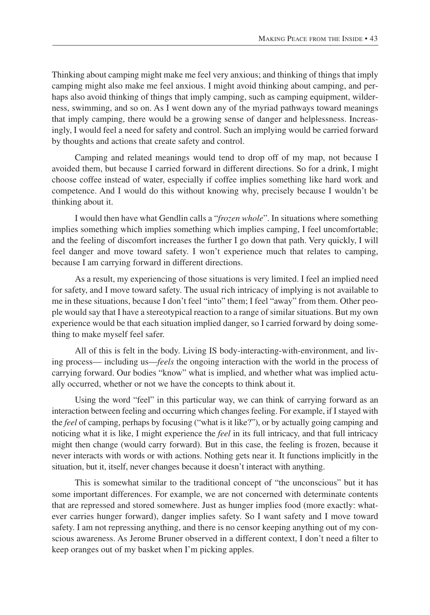Thinking about camping might make me feel very anxious; and thinking of things that imply camping might also make me feel anxious. I might avoid thinking about camping, and perhaps also avoid thinking of things that imply camping, such as camping equipment, wilderness, swimming, and so on. As I went down any of the myriad pathways toward meanings that imply camping, there would be a growing sense of danger and helplessness. Increasingly, I would feel a need for safety and control. Such an implying would be carried forward by thoughts and actions that create safety and control.

Camping and related meanings would tend to drop off of my map, not because I avoided them, but because I carried forward in different directions. So for a drink, I might choose coffee instead of water, especially if coffee implies something like hard work and competence. And I would do this without knowing why, precisely because I wouldn't be thinking about it.

I would then have what Gendlin calls a "*frozen whole*". In situations where something implies something which implies something which implies camping, I feel uncomfortable; and the feeling of discomfort increases the further I go down that path. Very quickly, I will feel danger and move toward safety. I won't experience much that relates to camping, because I am carrying forward in different directions.

As a result, my experiencing of those situations is very limited. I feel an implied need for safety, and I move toward safety. The usual rich intricacy of implying is not available to me in these situations, because I don't feel "into" them; I feel "away" from them. Other people would say that I have a stereotypical reaction to a range of similar situations. But my own experience would be that each situation implied danger, so I carried forward by doing something to make myself feel safer.

All of this is felt in the body. Living IS body-interacting-with-environment, and living process— including us—*feels* the ongoing interaction with the world in the process of carrying forward. Our bodies "know" what is implied, and whether what was implied actually occurred, whether or not we have the concepts to think about it.

Using the word "feel" in this particular way, we can think of carrying forward as an interaction between feeling and occurring which changes feeling. For example, if I stayed with the *feel* of camping, perhaps by focusing ("what is it like?"), or by actually going camping and noticing what it is like, I might experience the *feel* in its full intricacy, and that full intricacy might then change (would carry forward). But in this case, the feeling is frozen, because it never interacts with words or with actions. Nothing gets near it. It functions implicitly in the situation, but it, itself, never changes because it doesn't interact with anything.

This is somewhat similar to the traditional concept of "the unconscious" but it has some important differences. For example, we are not concerned with determinate contents that are repressed and stored somewhere. Just as hunger implies food (more exactly: whatever carries hunger forward), danger implies safety. So I want safety and I move toward safety. I am not repressing anything, and there is no censor keeping anything out of my conscious awareness. As Jerome Bruner observed in a different context, I don't need a filter to keep oranges out of my basket when I'm picking apples.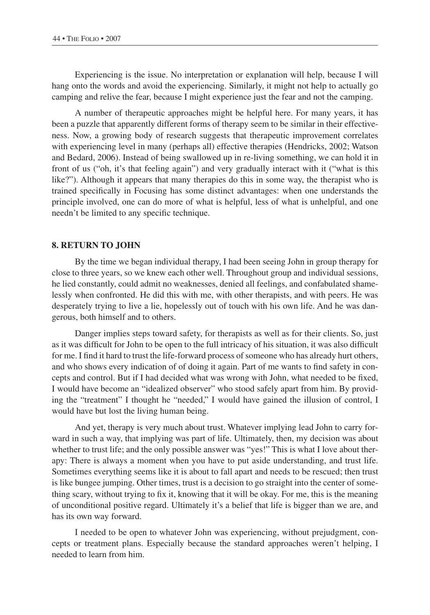Experiencing is the issue. No interpretation or explanation will help, because I will hang onto the words and avoid the experiencing. Similarly, it might not help to actually go camping and relive the fear, because I might experience just the fear and not the camping.

A number of therapeutic approaches might be helpful here. For many years, it has been a puzzle that apparently different forms of therapy seem to be similar in their effectiveness. Now, a growing body of research suggests that therapeutic improvement correlates with experiencing level in many (perhaps all) effective therapies (Hendricks, 2002; Watson and Bedard, 2006). Instead of being swallowed up in re-living something, we can hold it in front of us ("oh, it's that feeling again") and very gradually interact with it ("what is this like?"). Although it appears that many therapies do this in some way, the therapist who is trained specifically in Focusing has some distinct advantages: when one understands the principle involved, one can do more of what is helpful, less of what is unhelpful, and one needn't be limited to any specific technique.

# **8. RETURN TO JOHN**

By the time we began individual therapy, I had been seeing John in group therapy for close to three years, so we knew each other well. Throughout group and individual sessions, he lied constantly, could admit no weaknesses, denied all feelings, and confabulated shamelessly when confronted. He did this with me, with other therapists, and with peers. He was desperately trying to live a lie, hopelessly out of touch with his own life. And he was dangerous, both himself and to others.

Danger implies steps toward safety, for therapists as well as for their clients. So, just as it was difficult for John to be open to the full intricacy of his situation, it was also difficult for me. I find it hard to trust the life-forward process of someone who has already hurt others, and who shows every indication of of doing it again. Part of me wants to find safety in concepts and control. But if I had decided what was wrong with John, what needed to be fixed, I would have become an "idealized observer" who stood safely apart from him. By providing the "treatment" I thought he "needed," I would have gained the illusion of control, I would have but lost the living human being.

And yet, therapy is very much about trust. Whatever implying lead John to carry forward in such a way, that implying was part of life. Ultimately, then, my decision was about whether to trust life; and the only possible answer was "yes!" This is what I love about therapy: There is always a moment when you have to put aside understanding, and trust life. Sometimes everything seems like it is about to fall apart and needs to be rescued; then trust is like bungee jumping. Other times, trust is a decision to go straight into the center of something scary, without trying to fix it, knowing that it will be okay. For me, this is the meaning of unconditional positive regard. Ultimately it's a belief that life is bigger than we are, and has its own way forward.

I needed to be open to whatever John was experiencing, without prejudgment, concepts or treatment plans. Especially because the standard approaches weren't helping, I needed to learn from him.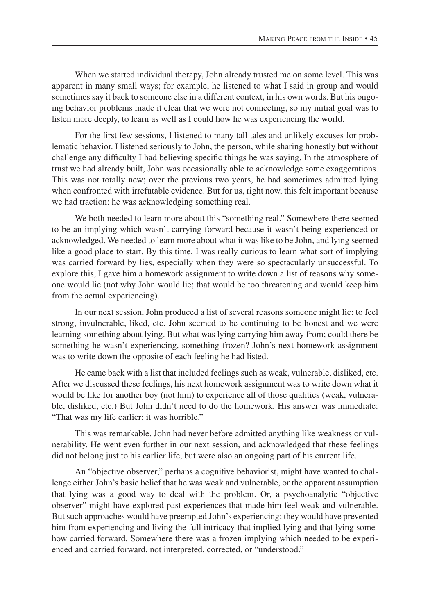When we started individual therapy, John already trusted me on some level. This was apparent in many small ways; for example, he listened to what I said in group and would sometimes say it back to someone else in a different context, in his own words. But his ongoing behavior problems made it clear that we were not connecting, so my initial goal was to listen more deeply, to learn as well as I could how he was experiencing the world.

For the first few sessions, I listened to many tall tales and unlikely excuses for problematic behavior. I listened seriously to John, the person, while sharing honestly but without challenge any difficulty I had believing specific things he was saying. In the atmosphere of trust we had already built, John was occasionally able to acknowledge some exaggerations. This was not totally new; over the previous two years, he had sometimes admitted lying when confronted with irrefutable evidence. But for us, right now, this felt important because we had traction: he was acknowledging something real.

We both needed to learn more about this "something real." Somewhere there seemed to be an implying which wasn't carrying forward because it wasn't being experienced or acknowledged. We needed to learn more about what it was like to be John, and lying seemed like a good place to start. By this time, I was really curious to learn what sort of implying was carried forward by lies, especially when they were so spectacularly unsuccessful. To explore this, I gave him a homework assignment to write down a list of reasons why someone would lie (not why John would lie; that would be too threatening and would keep him from the actual experiencing).

In our next session, John produced a list of several reasons someone might lie: to feel strong, invulnerable, liked, etc. John seemed to be continuing to be honest and we were learning something about lying. But what was lying carrying him away from; could there be something he wasn't experiencing, something frozen? John's next homework assignment was to write down the opposite of each feeling he had listed.

He came back with a list that included feelings such as weak, vulnerable, disliked, etc. After we discussed these feelings, his next homework assignment was to write down what it would be like for another boy (not him) to experience all of those qualities (weak, vulnerable, disliked, etc.) But John didn't need to do the homework. His answer was immediate: "That was my life earlier; it was horrible."

This was remarkable. John had never before admitted anything like weakness or vulnerability. He went even further in our next session, and acknowledged that these feelings did not belong just to his earlier life, but were also an ongoing part of his current life.

An "objective observer," perhaps a cognitive behaviorist, might have wanted to challenge either John's basic belief that he was weak and vulnerable, or the apparent assumption that lying was a good way to deal with the problem. Or, a psychoanalytic "objective observer" might have explored past experiences that made him feel weak and vulnerable. But such approaches would have preempted John's experiencing; they would have prevented him from experiencing and living the full intricacy that implied lying and that lying somehow carried forward. Somewhere there was a frozen implying which needed to be experienced and carried forward, not interpreted, corrected, or "understood."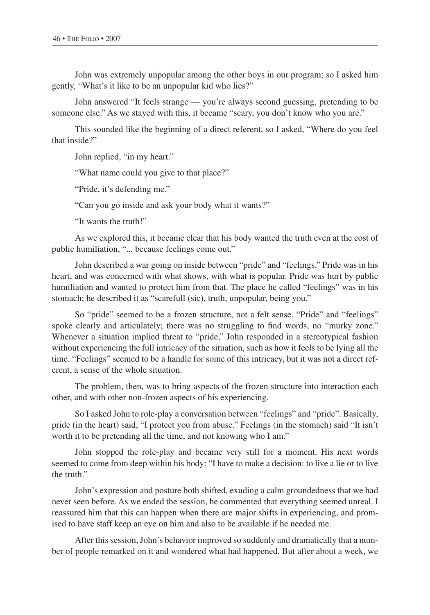John was extremely unpopular among the other boys in our program; so I asked him gently, "What's it like to be an unpopular kid who lies?"

John answered "It feels strange — you're always second guessing, pretending to be someone else." As we stayed with this, it became "scary, you don't know who you are."

This sounded like the beginning of a direct referent, so I asked, "Where do you feel that inside?"

John replied, "in my heart."

"What name could you give to that place?"

"Pride, it's defending me."

"Can you go inside and ask your body what it wants?"

"It wants the truth!"

As we explored this, it became clear that his body wanted the truth even at the cost of public humiliation, "... because feelings come out."

John described a war going on inside between "pride" and "feelings." Pride was in his heart, and was concerned with what shows, with what is popular. Pride was hurt by public humiliation and wanted to protect him from that. The place he called "feelings" was in his stomach; he described it as "scarefull (sic), truth, unpopular, being you."

So "pride" seemed to be a frozen structure, not a felt sense. "Pride" and "feelings" spoke clearly and articulately; there was no struggling to find words, no "murky zone." Whenever a situation implied threat to "pride," John responded in a stereotypical fashion without experiencing the full intricacy of the situation, such as how it feels to be lying all the time. "Feelings" seemed to be a handle for some of this intricacy, but it was not a direct referent, a sense of the whole situation.

The problem, then, was to bring aspects of the frozen structure into interaction each other, and with other non-frozen aspects of his experiencing.

So I asked John to role-play a conversation between "feelings" and "pride". Basically, pride (in the heart) said, "I protect you from abuse." Feelings (in the stomach) said "It isn't worth it to be pretending all the time, and not knowing who I am."

John stopped the role-play and became very still for a moment. His next words seemed to come from deep within his body: "I have to make a decision: to live a lie or to live the truth."

John's expression and posture both shifted, exuding a calm groundedness that we had never seen before. As we ended the session, he commented that everything seemed unreal. I reassured him that this can happen when there are major shifts in experiencing, and promised to have staff keep an eye on him and also to be available if he needed me.

After this session, John's behavior improved so suddenly and dramatically that a number of people remarked on it and wondered what had happened. But after about a week, we